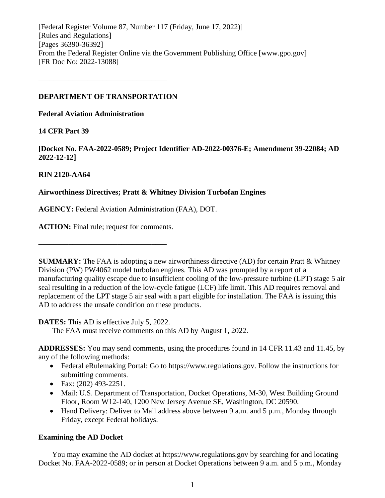[Federal Register Volume 87, Number 117 (Friday, June 17, 2022)] [Rules and Regulations] [Pages 36390-36392] From the Federal Register Online via the Government Publishing Office [www.gpo.gov] [FR Doc No: 2022-13088]

# **DEPARTMENT OF TRANSPORTATION**

**––––––––––––––––––––––––––––––––––**

**Federal Aviation Administration**

# **14 CFR Part 39**

**[Docket No. FAA-2022-0589; Project Identifier AD-2022-00376-E; Amendment 39-22084; AD 2022-12-12]**

# **RIN 2120-AA64**

# **Airworthiness Directives; Pratt & Whitney Division Turbofan Engines**

**AGENCY:** Federal Aviation Administration (FAA), DOT.

**ACTION:** Final rule; request for comments.

**––––––––––––––––––––––––––––––––––**

**SUMMARY:** The FAA is adopting a new airworthiness directive (AD) for certain Pratt & Whitney Division (PW) PW4062 model turbofan engines. This AD was prompted by a report of a manufacturing quality escape due to insufficient cooling of the low-pressure turbine (LPT) stage 5 air seal resulting in a reduction of the low-cycle fatigue (LCF) life limit. This AD requires removal and replacement of the LPT stage 5 air seal with a part eligible for installation. The FAA is issuing this AD to address the unsafe condition on these products.

**DATES:** This AD is effective July 5, 2022.

The FAA must receive comments on this AD by August 1, 2022.

**ADDRESSES:** You may send comments, using the procedures found in 14 CFR 11.43 and 11.45, by any of the following methods:

- Federal eRulemaking Portal: Go to https://www.regulations.gov. Follow the instructions for submitting comments.
- Fax:  $(202)$  493-2251.
- Mail: U.S. Department of Transportation, Docket Operations, M-30, West Building Ground Floor, Room W12-140, 1200 New Jersey Avenue SE, Washington, DC 20590.
- Hand Delivery: Deliver to Mail address above between 9 a.m. and 5 p.m., Monday through Friday, except Federal holidays.

# **Examining the AD Docket**

You may examine the AD docket at https://www.regulations.gov by searching for and locating Docket No. FAA-2022-0589; or in person at Docket Operations between 9 a.m. and 5 p.m., Monday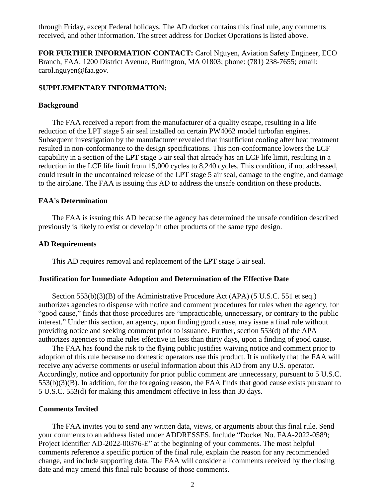through Friday, except Federal holidays. The AD docket contains this final rule, any comments received, and other information. The street address for Docket Operations is listed above.

**FOR FURTHER INFORMATION CONTACT:** Carol Nguyen, Aviation Safety Engineer, ECO Branch, FAA, 1200 District Avenue, Burlington, MA 01803; phone: (781) 238-7655; email: carol.nguyen@faa.gov.

#### **SUPPLEMENTARY INFORMATION:**

#### **Background**

The FAA received a report from the manufacturer of a quality escape, resulting in a life reduction of the LPT stage 5 air seal installed on certain PW4062 model turbofan engines. Subsequent investigation by the manufacturer revealed that insufficient cooling after heat treatment resulted in non-conformance to the design specifications. This non-conformance lowers the LCF capability in a section of the LPT stage 5 air seal that already has an LCF life limit, resulting in a reduction in the LCF life limit from 15,000 cycles to 8,240 cycles. This condition, if not addressed, could result in the uncontained release of the LPT stage 5 air seal, damage to the engine, and damage to the airplane. The FAA is issuing this AD to address the unsafe condition on these products.

#### **FAA's Determination**

The FAA is issuing this AD because the agency has determined the unsafe condition described previously is likely to exist or develop in other products of the same type design.

#### **AD Requirements**

This AD requires removal and replacement of the LPT stage 5 air seal.

#### **Justification for Immediate Adoption and Determination of the Effective Date**

Section 553(b)(3)(B) of the Administrative Procedure Act (APA) (5 U.S.C. 551 et seq.) authorizes agencies to dispense with notice and comment procedures for rules when the agency, for "good cause," finds that those procedures are "impracticable, unnecessary, or contrary to the public interest." Under this section, an agency, upon finding good cause, may issue a final rule without providing notice and seeking comment prior to issuance. Further, section 553(d) of the APA authorizes agencies to make rules effective in less than thirty days, upon a finding of good cause.

The FAA has found the risk to the flying public justifies waiving notice and comment prior to adoption of this rule because no domestic operators use this product. It is unlikely that the FAA will receive any adverse comments or useful information about this AD from any U.S. operator. Accordingly, notice and opportunity for prior public comment are unnecessary, pursuant to 5 U.S.C. 553(b)(3)(B). In addition, for the foregoing reason, the FAA finds that good cause exists pursuant to 5 U.S.C. 553(d) for making this amendment effective in less than 30 days.

### **Comments Invited**

The FAA invites you to send any written data, views, or arguments about this final rule. Send your comments to an address listed under ADDRESSES. Include "Docket No. FAA-2022-0589; Project Identifier AD-2022-00376-E" at the beginning of your comments. The most helpful comments reference a specific portion of the final rule, explain the reason for any recommended change, and include supporting data. The FAA will consider all comments received by the closing date and may amend this final rule because of those comments.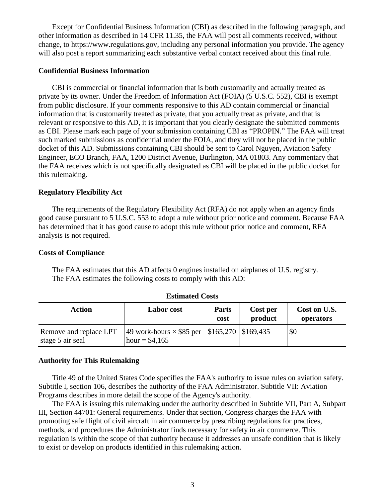Except for Confidential Business Information (CBI) as described in the following paragraph, and other information as described in 14 CFR 11.35, the FAA will post all comments received, without change, to https://www.regulations.gov, including any personal information you provide. The agency will also post a report summarizing each substantive verbal contact received about this final rule.

#### **Confidential Business Information**

CBI is commercial or financial information that is both customarily and actually treated as private by its owner. Under the Freedom of Information Act (FOIA) (5 U.S.C. 552), CBI is exempt from public disclosure. If your comments responsive to this AD contain commercial or financial information that is customarily treated as private, that you actually treat as private, and that is relevant or responsive to this AD, it is important that you clearly designate the submitted comments as CBI. Please mark each page of your submission containing CBI as "PROPIN." The FAA will treat such marked submissions as confidential under the FOIA, and they will not be placed in the public docket of this AD. Submissions containing CBI should be sent to Carol Nguyen, Aviation Safety Engineer, ECO Branch, FAA, 1200 District Avenue, Burlington, MA 01803. Any commentary that the FAA receives which is not specifically designated as CBI will be placed in the public docket for this rulemaking.

## **Regulatory Flexibility Act**

The requirements of the Regulatory Flexibility Act (RFA) do not apply when an agency finds good cause pursuant to 5 U.S.C. 553 to adopt a rule without prior notice and comment. Because FAA has determined that it has good cause to adopt this rule without prior notice and comment, RFA analysis is not required.

#### **Costs of Compliance**

The FAA estimates that this AD affects 0 engines installed on airplanes of U.S. registry. The FAA estimates the following costs to comply with this AD:

| Action                                     | <b>Labor</b> cost                                                          | <b>Parts</b><br>cost | Cost per<br>product | Cost on U.S.<br>operators |
|--------------------------------------------|----------------------------------------------------------------------------|----------------------|---------------------|---------------------------|
| Remove and replace LPT<br>stage 5 air seal | 49 work-hours $\times$ \$85 per   \$165,270   \$169,435<br>hour = $$4,165$ |                      |                     | \$0                       |

**Estimated Costs**

#### **Authority for This Rulemaking**

Title 49 of the United States Code specifies the FAA's authority to issue rules on aviation safety. Subtitle I, section 106, describes the authority of the FAA Administrator. Subtitle VII: Aviation Programs describes in more detail the scope of the Agency's authority.

The FAA is issuing this rulemaking under the authority described in Subtitle VII, Part A, Subpart III, Section 44701: General requirements. Under that section, Congress charges the FAA with promoting safe flight of civil aircraft in air commerce by prescribing regulations for practices, methods, and procedures the Administrator finds necessary for safety in air commerce. This regulation is within the scope of that authority because it addresses an unsafe condition that is likely to exist or develop on products identified in this rulemaking action.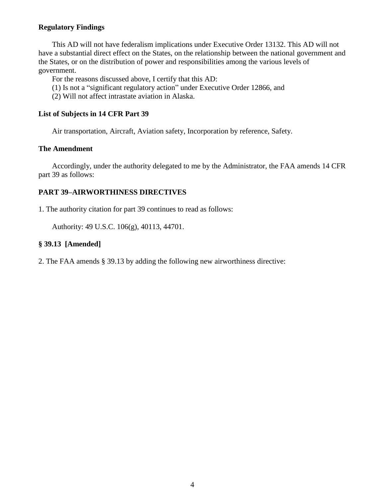# **Regulatory Findings**

This AD will not have federalism implications under Executive Order 13132. This AD will not have a substantial direct effect on the States, on the relationship between the national government and the States, or on the distribution of power and responsibilities among the various levels of government.

For the reasons discussed above, I certify that this AD:

(1) Is not a "significant regulatory action" under Executive Order 12866, and

(2) Will not affect intrastate aviation in Alaska.

### **List of Subjects in 14 CFR Part 39**

Air transportation, Aircraft, Aviation safety, Incorporation by reference, Safety.

### **The Amendment**

Accordingly, under the authority delegated to me by the Administrator, the FAA amends 14 CFR part 39 as follows:

# **PART 39–AIRWORTHINESS DIRECTIVES**

1. The authority citation for part 39 continues to read as follows:

Authority: 49 U.S.C. 106(g), 40113, 44701.

# **§ 39.13 [Amended]**

2. The FAA amends § 39.13 by adding the following new airworthiness directive: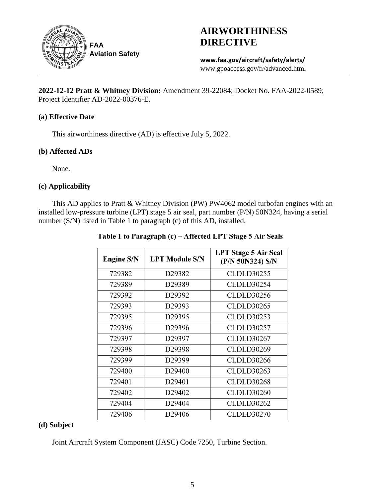

**AIRWORTHINESS DIRECTIVE**

**www.faa.gov/aircraft/safety/alerts/** www.gpoaccess.gov/fr/advanced.html

**2022-12-12 Pratt & Whitney Division:** Amendment 39-22084; Docket No. FAA-2022-0589; Project Identifier AD-2022-00376-E.

# **(a) Effective Date**

This airworthiness directive (AD) is effective July 5, 2022.

### **(b) Affected ADs**

None.

# **(c) Applicability**

This AD applies to Pratt & Whitney Division (PW) PW4062 model turbofan engines with an installed low-pressure turbine (LPT) stage 5 air seal, part number (P/N) 50N324, having a serial number (S/N) listed in Table 1 to paragraph (c) of this AD, installed.

| <b>Engine S/N</b> | <b>LPT Module S/N</b> | <b>LPT Stage 5 Air Seal</b><br>(P/N 50N324) S/N |
|-------------------|-----------------------|-------------------------------------------------|
| 729382            | D29382                | <b>CLDLD30255</b>                               |
| 729389            | D <sub>29389</sub>    | <b>CLDLD30254</b>                               |
| 729392            | D29392                | CLDLD30256                                      |
| 729393            | D29393                | <b>CLDLD30265</b>                               |
| 729395            | D <sub>29395</sub>    | <b>CLDLD30253</b>                               |
| 729396            | D29396                | CLDLD30257                                      |
| 729397            | D29397                | <b>CLDLD30267</b>                               |
| 729398            | D29398                | <b>CLDLD30269</b>                               |
| 729399            | D29399                | CLDLD30266                                      |
| 729400            | D <sub>29400</sub>    | CLDLD30263                                      |
| 729401            | D <sub>29401</sub>    | <b>CLDLD30268</b>                               |
| 729402            | D <sub>29402</sub>    | <b>CLDLD30260</b>                               |
| 729404            | D29404                | <b>CLDLD30262</b>                               |
| 729406            | D29406                | <b>CLDLD30270</b>                               |

# Table 1 to Paragraph (c) – Affected LPT Stage 5 Air Seals

# **(d) Subject**

Joint Aircraft System Component (JASC) Code 7250, Turbine Section.